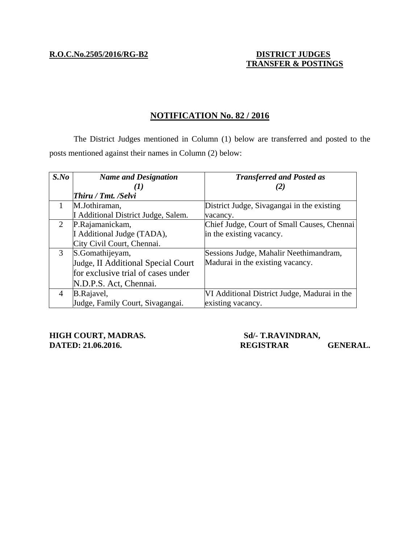**R.O.C.No.2505/2016/RG-B2 DISTRICT JUDGES**

## **TRANSFER & POSTINGS**

### **NOTIFICATION No. 82 / 2016**

 The District Judges mentioned in Column (1) below are transferred and posted to the posts mentioned against their names in Column (2) below:

| $S$ .No | <b>Name and Designation</b>         | <b>Transferred and Posted as</b>             |
|---------|-------------------------------------|----------------------------------------------|
|         | $\mathbf{I}$                        |                                              |
|         | <b>Thiru</b> / Tmt. / Selvi         |                                              |
|         | M.Jothiraman,                       | District Judge, Sivagangai in the existing   |
|         | I Additional District Judge, Salem. | vacancy.                                     |
|         | P.Rajamanickam,                     | Chief Judge, Court of Small Causes, Chennai  |
|         | I Additional Judge (TADA),          | in the existing vacancy.                     |
|         | City Civil Court, Chennai.          |                                              |
| 3       | S.Gomathijeyam,                     | Sessions Judge, Mahalir Neethimandram,       |
|         | Judge, II Additional Special Court  | Madurai in the existing vacancy.             |
|         | for exclusive trial of cases under  |                                              |
|         | N.D.P.S. Act, Chennai.              |                                              |
| 4       | B.Rajavel,                          | VI Additional District Judge, Madurai in the |
|         | Judge, Family Court, Sivagangai.    | existing vacancy.                            |

**HIGH COURT, MADRAS.** Sd/- T.RAVINDRAN,

# **DATED: 21.06.2016.** REGISTRAR GENERAL.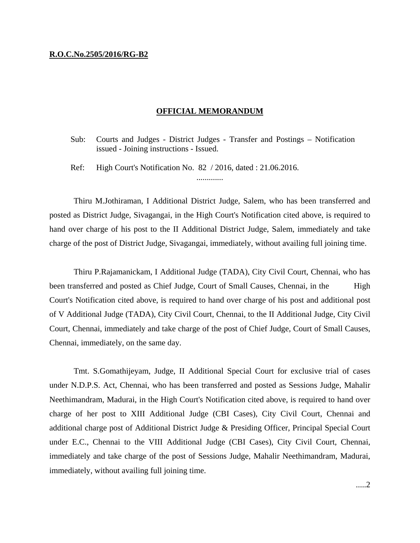#### **R.O.C.No.2505/2016/RG-B2**

### **OFFICIAL MEMORANDUM**

Sub: Courts and Judges - District Judges - Transfer and Postings – Notification issued - Joining instructions - Issued.

.............

Ref: High Court's Notification No. 82 / 2016, dated : 21.06.2016.

 Thiru M.Jothiraman, I Additional District Judge, Salem, who has been transferred and posted as District Judge, Sivagangai, in the High Court's Notification cited above, is required to hand over charge of his post to the II Additional District Judge, Salem, immediately and take charge of the post of District Judge, Sivagangai, immediately, without availing full joining time.

 Thiru P.Rajamanickam, I Additional Judge (TADA), City Civil Court, Chennai, who has been transferred and posted as Chief Judge, Court of Small Causes, Chennai, in the High Court's Notification cited above, is required to hand over charge of his post and additional post of V Additional Judge (TADA), City Civil Court, Chennai, to the II Additional Judge, City Civil Court, Chennai, immediately and take charge of the post of Chief Judge, Court of Small Causes, Chennai, immediately, on the same day.

 Tmt. S.Gomathijeyam, Judge, II Additional Special Court for exclusive trial of cases under N.D.P.S. Act, Chennai, who has been transferred and posted as Sessions Judge, Mahalir Neethimandram, Madurai, in the High Court's Notification cited above, is required to hand over charge of her post to XIII Additional Judge (CBI Cases), City Civil Court, Chennai and additional charge post of Additional District Judge & Presiding Officer, Principal Special Court under E.C., Chennai to the VIII Additional Judge (CBI Cases), City Civil Court, Chennai, immediately and take charge of the post of Sessions Judge, Mahalir Neethimandram, Madurai, immediately, without availing full joining time.